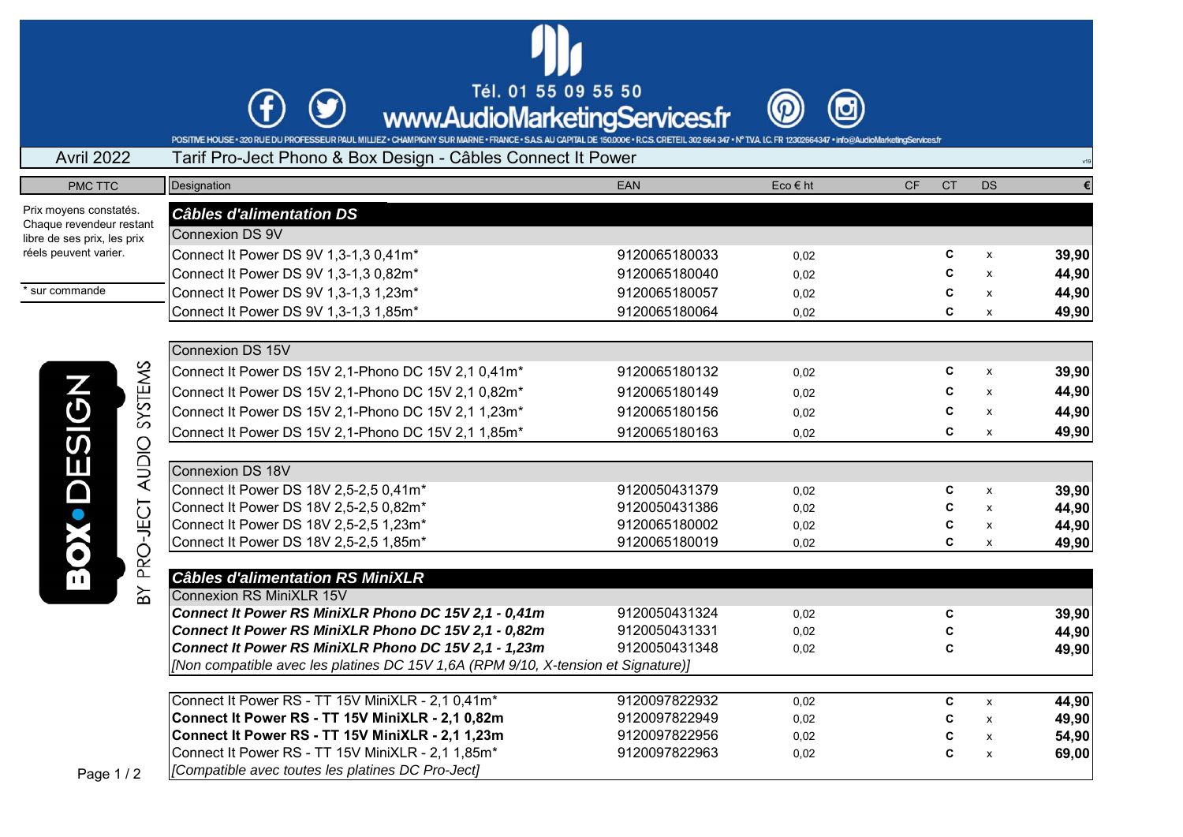Tél. 01 55 09 55 50



FOR THE HOUSE - 320 RUE DU PROFESSEUR PAUL MILIEZ - CHAMPIGNY SUR MARNE - FRANCE - SAS AU CAPITAL DE 150,000e - R.C.S. CRETEIL 302 664 347 - N° TVA IC. FR 12302664347 - info@AudioMarketingServices.fr<br>POSITIVE HOUSE - 320 R

## Avril 2022 Tarif Pro-Ject Phono & Box Design - Câbles Connect It Power

 $\mathcal{F}$ 

| PMC TTC                                                 | Designation                                                                       | EAN           | Eco € ht | <b>CF</b> | <b>CT</b> | <b>DS</b>                 | €     |  |
|---------------------------------------------------------|-----------------------------------------------------------------------------------|---------------|----------|-----------|-----------|---------------------------|-------|--|
| Prix moyens constatés.                                  | <b>Câbles d'alimentation DS</b>                                                   |               |          |           |           |                           |       |  |
| Chaque revendeur restant<br>libre de ses prix, les prix | Connexion DS 9V                                                                   |               |          |           |           |                           |       |  |
| réels peuvent varier.<br>* sur commande                 | Connect It Power DS 9V 1,3-1,3 0,41m*                                             | 9120065180033 | 0,02     |           | C         | x                         | 39,90 |  |
|                                                         | Connect It Power DS 9V 1,3-1,3 0,82m*                                             | 9120065180040 | 0,02     |           | C         | $\mathsf{x}$              | 44,90 |  |
|                                                         | Connect It Power DS 9V 1,3-1,3 1,23m*                                             | 9120065180057 | 0,02     |           | C         | $\pmb{\chi}$              | 44,90 |  |
|                                                         | Connect It Power DS 9V 1,3-1,3 1,85m*                                             | 9120065180064 | 0,02     |           | C         | x                         | 49,90 |  |
|                                                         |                                                                                   |               |          |           |           |                           |       |  |
|                                                         | Connexion DS 15V                                                                  |               |          |           |           |                           |       |  |
|                                                         | Connect It Power DS 15V 2,1-Phono DC 15V 2,1 0,41m*                               | 9120065180132 | 0,02     |           | C         | $\pmb{\chi}$              | 39,90 |  |
| SYSTEMS                                                 | Connect It Power DS 15V 2,1-Phono DC 15V 2,1 0,82m*                               | 9120065180149 | 0,02     |           |           | $\boldsymbol{\mathsf{x}}$ | 44,90 |  |
|                                                         | Connect It Power DS 15V 2,1-Phono DC 15V 2,1 1,23m*                               | 9120065180156 | 0,02     |           | C         | $\boldsymbol{\mathsf{x}}$ | 44,90 |  |
|                                                         | Connect It Power DS 15V 2,1-Phono DC 15V 2,1 1,85m*                               | 9120065180163 | 0,02     |           | C         | X                         | 49,90 |  |
|                                                         |                                                                                   |               |          |           |           |                           |       |  |
| ESIGN<br><b>AUDIO</b>                                   | Connexion DS 18V                                                                  |               |          |           |           |                           |       |  |
| $\bullet$ D                                             | Connect It Power DS 18V 2,5-2,5 0,41m*                                            | 9120050431379 | 0,02     |           | C         | X                         | 39,90 |  |
|                                                         | Connect It Power DS 18V 2,5-2,5 0,82m*                                            | 9120050431386 | 0,02     |           | C         | $\boldsymbol{\mathsf{x}}$ | 44,90 |  |
|                                                         | Connect It Power DS 18V 2,5-2,5 1,23m*                                            | 9120065180002 | 0,02     |           | C         | $\pmb{\chi}$              | 44,90 |  |
| <b>SC</b>                                               | Connect It Power DS 18V 2,5-2,5 1,85m*                                            | 9120065180019 | 0,02     |           | C         | $\mathsf{x}$              | 49,90 |  |
| PRO-JECT<br>B<br>ΡX                                     |                                                                                   |               |          |           |           |                           |       |  |
|                                                         | <b>Câbles d'alimentation RS MiniXLR</b>                                           |               |          |           |           |                           |       |  |
|                                                         | <b>Connexion RS MiniXLR 15V</b>                                                   |               |          |           |           |                           |       |  |
|                                                         | Connect It Power RS MiniXLR Phono DC 15V 2,1 - 0,41m                              | 9120050431324 | 0,02     |           | C         |                           | 39,90 |  |
|                                                         | Connect It Power RS MiniXLR Phono DC 15V 2,1 - 0,82m                              | 9120050431331 | 0,02     |           |           |                           | 44,90 |  |
|                                                         | Connect It Power RS MiniXLR Phono DC 15V 2,1 - 1,23m                              | 9120050431348 | 0,02     |           | C         |                           | 49,90 |  |
|                                                         | [Non compatible avec les platines DC 15V 1,6A (RPM 9/10, X-tension et Signature)] |               |          |           |           |                           |       |  |
|                                                         | Connect It Power RS - TT 15V MiniXLR - 2,1 0.41m*                                 | 9120097822932 | 0,02     |           | C         | $\mathsf{x}$              | 44,90 |  |
|                                                         | Connect It Power RS - TT 15V MiniXLR - 2,1 0,82m                                  | 9120097822949 | 0,02     |           | C         | $\mathsf{x}$              | 49,90 |  |
|                                                         | Connect It Power RS - TT 15V MiniXLR - 2,1 1,23m                                  | 9120097822956 | 0,02     |           | C         | $\pmb{\mathsf{x}}$        | 54,90 |  |
|                                                         | Connect It Power RS - TT 15V MiniXLR - 2,1 1,85m*                                 | 9120097822963 | 0,02     |           | C         | $\mathsf{x}$              | 69,00 |  |
| $P$ ane 1 / 2                                           | [Compatible avec toutes les platines DC Pro-Ject]                                 |               |          |           |           |                           |       |  |